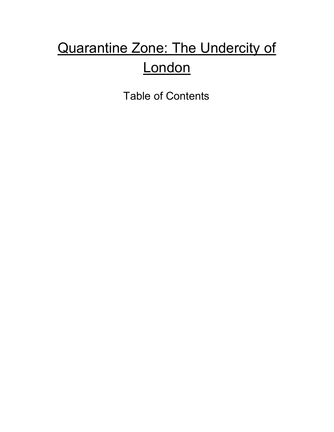# Quarantine Zone: The Undercity of **London**

Table of Contents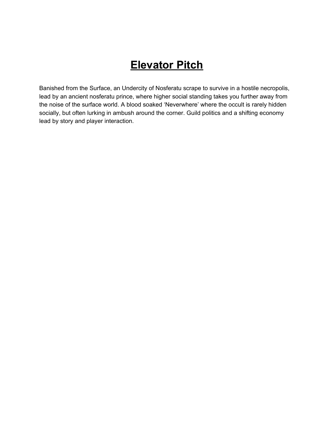## **Elevator Pitch**

Banished from the Surface, an Undercity of Nosferatu scrape to survive in a hostile necropolis, lead by an ancient nosferatu prince, where higher social standing takes you further away from the noise of the surface world. A blood soaked 'Neverwhere' where the occult is rarely hidden socially, but often lurking in ambush around the corner. Guild politics and a shifting economy lead by story and player interaction.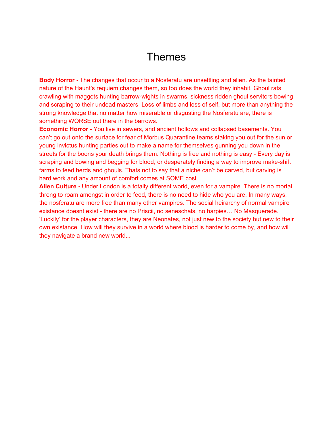#### Themes

**Body Horror -** The changes that occur to a Nosferatu are unsettling and alien. As the tainted nature of the Haunt's requiem changes them, so too does the world they inhabit. Ghoul rats crawling with maggots hunting barrow-wights in swarms, sickness ridden ghoul servitors bowing and scraping to their undead masters. Loss of limbs and loss of self, but more than anything the strong knowledge that no matter how miserable or disgusting the Nosferatu are, there is something WORSE out there in the barrows.

**Economic Horror -** You live in sewers, and ancient hollows and collapsed basements. You can't go out onto the surface for fear of Morbus Quarantine teams staking you out for the sun or young invictus hunting parties out to make a name for themselves gunning you down in the streets for the boons your death brings them. Nothing is free and nothing is easy - Every day is scraping and bowing and begging for blood, or desperately finding a way to improve make-shift farms to feed herds and ghouls. Thats not to say that a niche can't be carved, but carving is hard work and any amount of comfort comes at SOME cost.

**Alien Culture -** Under London is a totally different world, even for a vampire. There is no mortal throng to roam amongst in order to feed, there is no need to hide who you are. In many ways, the nosferatu are more free than many other vampires. The social heirarchy of normal vampire existance doesnt exist - there are no Priscii, no seneschals, no harpies… No Masquerade. 'Luckily' for the player characters, they are Neonates, not just new to the society but new to their own existance. How will they survive in a world where blood is harder to come by, and how will they navigate a brand new world...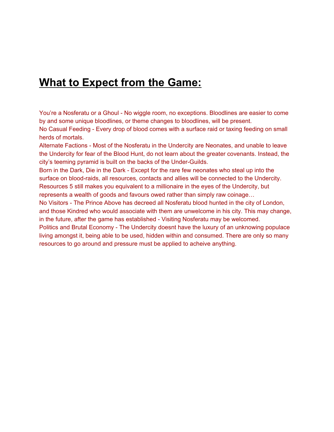#### **What to Expect from the Game:**

You're a Nosferatu or a Ghoul - No wiggle room, no exceptions. Bloodlines are easier to come by and some unique bloodlines, or theme changes to bloodlines, will be present.

No Casual Feeding - Every drop of blood comes with a surface raid or taxing feeding on small herds of mortals.

Alternate Factions - Most of the Nosferatu in the Undercity are Neonates, and unable to leave the Undercity for fear of the Blood Hunt, do not learn about the greater covenants. Instead, the city's teeming pyramid is built on the backs of the Under-Guilds.

Born in the Dark, Die in the Dark - Except for the rare few neonates who steal up into the surface on blood-raids, all resources, contacts and allies will be connected to the Undercity. Resources 5 still makes you equivalent to a millionaire in the eyes of the Undercity, but represents a wealth of goods and favours owed rather than simply raw coinage…

No Visitors - The Prince Above has decreed all Nosferatu blood hunted in the city of London, and those Kindred who would associate with them are unwelcome in his city. This may change, in the future, after the game has established - Visiting Nosferatu may be welcomed. Politics and Brutal Economy - The Undercity doesnt have the luxury of an unknowing populace living amongst it, being able to be used, hidden within and consumed. There are only so many resources to go around and pressure must be applied to acheive anything.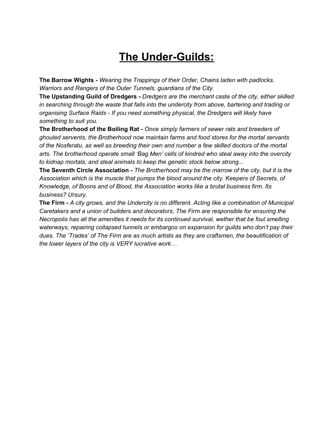## **The Under-Guilds:**

**The Barrow Wights -** *Wearing the Trappings of their Order, Chains laden with padlocks. Warriors and Rangers of the Outer Tunnels, guardians of the City.*

**The Upstanding Guild of Dredgers -** *Dredgers are the merchant caste of the city, either skilled in searching through the waste that falls into the undercity from above, bartering and trading or organising Surface Raids - If you need something physical, the Dredgers will likely have something to suit you.*

**The Brotherhood of the Boiling Rat -** *Once simply farmers of sewer rats and breeders of ghouled servents, the Brotherhood now maintain farms and food stores for the mortal servants of the Nosferatu, as well as breeding their own and number a few skilled doctors of the mortal arts. The brotherhood operate small 'Bag Men' cells of kindred who steal away into the overcity to kidnap mortals, and steal animals to keep the genetic stock below strong...*

**The Seventh Circle Association -** *The Brotherhood may be the marrow of the city, but it is the Association which is the muscle that pumps the blood around the city. Keepers of Secrets, of Knowledge, of Boons and of Blood, the Association works like a brutal business firm. Its business? Ursury.*

**The Firm -** *A city grows, and the Undercity is no different. Acting like a combination of Municipal Caretakers and a union of builders and decorators, The Firm are responsible for ensuring the Necropolis has all the amenities it needs for its continued survival, wether that be foul smelling waterways, repairing collapsed tunnels or embargos on expansion for guilds who don't pay their dues. The 'Trades' of The Firm are as much artists as they are craftsmen, the beautification of the lower layers of the city is VERY lucrative work…*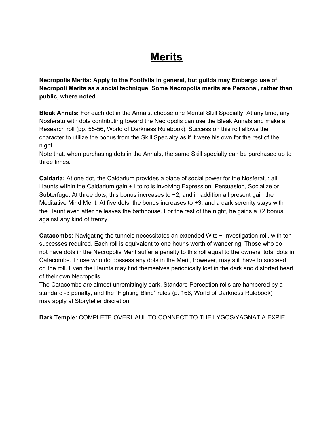### **Merits**

**Necropolis Merits: Apply to the Footfalls in general, but guilds may Embargo use of Necropoli Merits as a social technique. Some Necropolis merits are Personal, rather than public, where noted.**

**Bleak Annals:** For each dot in the Annals, choose one Mental Skill Specialty. At any time, any Nosferatu with dots contributing toward the Necropolis can use the Bleak Annals and make a Research roll (pp. 55-56, World of Darkness Rulebook). Success on this roll allows the character to utilize the bonus from the Skill Specialty as if it were his own for the rest of the night.

Note that, when purchasing dots in the Annals, the same Skill specialty can be purchased up to three times.

**Caldaria:** At one dot, the Caldarium provides a place of social power for the Nosferatu: all Haunts within the Caldarium gain +1 to rolls involving Expression, Persuasion, Socialize or Subterfuge. At three dots, this bonus increases to +2, and in addition all present gain the Meditative Mind Merit. At five dots, the bonus increases to +3, and a dark serenity stays with the Haunt even after he leaves the bathhouse. For the rest of the night, he gains a  $+2$  bonus against any kind of frenzy.

**Catacombs:** Navigating the tunnels necessitates an extended Wits + Investigation roll, with ten successes required. Each roll is equivalent to one hour's worth of wandering. Those who do not have dots in the Necropolis Merit suffer a penalty to this roll equal to the owners' total dots in Catacombs. Those who do possess any dots in the Merit, however, may still have to succeed on the roll. Even the Haunts may find themselves periodically lost in the dark and distorted heart of their own Necropolis.

The Catacombs are almost unremittingly dark. Standard Perception rolls are hampered by a standard -3 penalty, and the "Fighting Blind" rules (p. 166, World of Darkness Rulebook) may apply at Storyteller discretion.

**Dark Temple:** COMPLETE OVERHAUL TO CONNECT TO THE LYGOS/YAGNATIA EXPIE